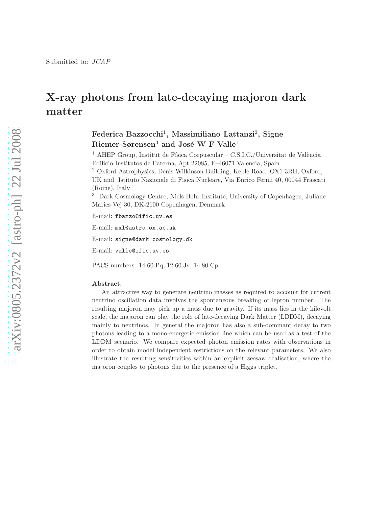# X-ray photons from late-decaying majoron dark matter

# Federica Bazzocchi<sup>1</sup>, Massimiliano Lattanzi<sup>2</sup>, Signe Riemer-Sørensen<sup>3</sup> and José W F Valle<sup>1</sup>

 $^{\rm 1}$ AHEP Group, Institut de Física Corpuscular – C.S.I.C./Universitat de València Edificio Institutos de Paterna, Apt 22085, E–46071 Valencia, Spain

<sup>2</sup> Oxford Astrophysics, Denis Wilkinson Building, Keble Road, OX1 3RH, Oxford,

UK and Istituto Nazionale di Fisica Nucleare, Via Enrico Fermi 40, 00044 Frascati (Rome), Italy

<sup>3</sup> Dark Cosmology Centre, Niels Bohr Institute, University of Copenhagen, Juliane Maries Vej 30, DK-2100 Copenhagen, Denmark

E-mail: fbazzo@ific.uv.es

E-mail: mxl@astro.ox.ac.uk

E-mail: signe@dark-cosmology.dk

E-mail: valle@ific.uv.es

PACS numbers: 14.60.Pq, 12.60.Jv, 14.80.Cp

#### Abstract.

An attractive way to generate neutrino masses as required to account for current neutrino oscillation data involves the spontaneous breaking of lepton number. The resulting majoron may pick up a mass due to gravity. If its mass lies in the kilovolt scale, the majoron can play the role of late-decaying Dark Matter (LDDM), decaying mainly to neutrinos. In general the majoron has also a sub-dominant decay to two photons leading to a mono-energetic emission line which can be used as a test of the LDDM scenario. We compare expected photon emission rates with observations in order to obtain model independent restrictions on the relevant parameters. We also illustrate the resulting sensitivities within an explicit seesaw realisation, where the majoron couples to photons due to the presence of a Higgs triplet.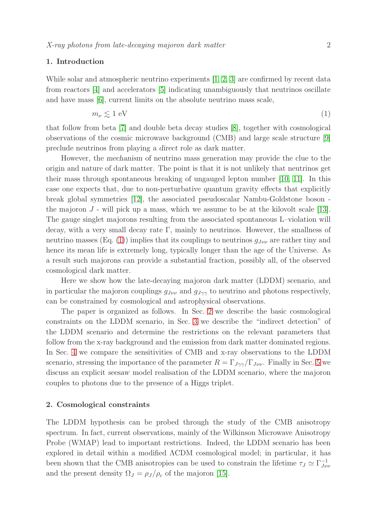#### 1. Introduction

While solar and atmospheric neutrino experiments [\[1,](#page-14-0) [2,](#page-14-1) [3\]](#page-14-2) are confirmed by recent data from reactors [\[4\]](#page-14-3) and accelerators [\[5\]](#page-14-4) indicating unambiguously that neutrinos oscillate and have mass [\[6\]](#page-14-5), current limits on the absolute neutrino mass scale,

<span id="page-1-0"></span>
$$
m_{\nu} \lesssim 1 \text{ eV} \tag{1}
$$

that follow from beta [\[7\]](#page-14-6) and double beta decay studies [\[8\]](#page-14-7), together with cosmological observations of the cosmic microwave background (CMB) and large scale structure [\[9\]](#page-14-8) preclude neutrinos from playing a direct role as dark matter.

However, the mechanism of neutrino mass generation may provide the clue to the origin and nature of dark matter. The point is that it is not unlikely that neutrinos get their mass through spontaneous breaking of ungauged lepton number [\[10,](#page-14-9) [11\]](#page-14-10). In this case one expects that, due to non-perturbative quantum gravity effects that explicitly break global symmetries [\[12\]](#page-14-11), the associated pseudoscalar Nambu-Goldstone boson the majoron  $J$  - will pick up a mass, which we assume to be at the kilovolt scale [\[13\]](#page-14-12). The gauge singlet majorons resulting from the associated spontaneous L–violation will decay, with a very small decay rate  $\Gamma$ , mainly to neutrinos. However, the smallness of neutrino masses (Eq. [\(1\)](#page-1-0)) implies that its couplings to neutrinos  $g_{J\nu\nu}$  are rather tiny and hence its mean life is extremely long, typically longer than the age of the Universe. As a result such majorons can provide a substantial fraction, possibly all, of the observed cosmological dark matter.

Here we show how the late-decaying majoron dark matter (LDDM) scenario, and in particular the majoron couplings  $g_{J\nu\nu}$  and  $g_{J\gamma\gamma}$  to neutrino and photons respectively, can be constrained by cosmological and astrophysical observations.

The paper is organized as follows. In Sec. [2](#page-1-1) we describe the basic cosmological constraints on the LDDM scenario, in Sec. [3](#page-3-0) we describe the "indirect detection" of the LDDM scenario and determine the restrictions on the relevant parameters that follow from the x-ray background and the emission from dark matter dominated regions. In Sec. [4](#page-7-0) we compare the sensitivities of CMB and x-ray observations to the LDDM scenario, stressing the importance of the parameter  $R = \Gamma_{J\gamma\gamma}/\Gamma_{J\nu\nu}$ . Finally in Sec. [5](#page-10-0) we discuss an explicit seesaw model realisation of the LDDM scenario, where the majoron couples to photons due to the presence of a Higgs triplet.

#### <span id="page-1-1"></span>2. Cosmological constraints

The LDDM hypothesis can be probed through the study of the CMB anisotropy spectrum. In fact, current observations, mainly of the Wilkinson Microwave Anisotropy Probe (WMAP) lead to important restrictions. Indeed, the LDDM scenario has been explored in detail within a modified ΛCDM cosmological model; in particular, it has been shown that the CMB anisotropies can be used to constrain the lifetime  $\tau_J \simeq \Gamma_{J\nu}^{-1}$  $J\nu\nu$ and the present density  $\Omega_J = \rho_J / \rho_c$  of the majoron [\[15\]](#page-14-13).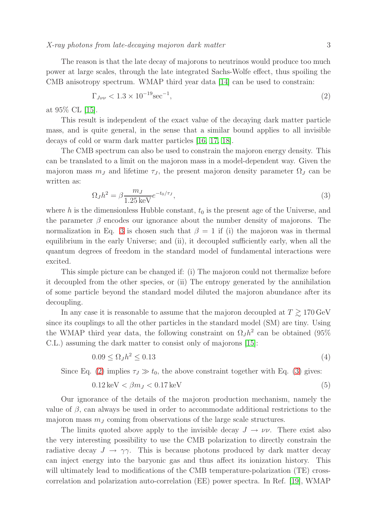X-ray photons from late-decaying majoron dark matter 3

The reason is that the late decay of majorons to neutrinos would produce too much power at large scales, through the late integrated Sachs-Wolfe effect, thus spoiling the CMB anisotropy spectrum. WMAP third year data [\[14\]](#page-14-14) can be used to constrain:

<span id="page-2-1"></span>
$$
\Gamma_{J\nu\nu} < 1.3 \times 10^{-19} \text{sec}^{-1},\tag{2}
$$

at 95% CL [\[15\]](#page-14-13).

This result is independent of the exact value of the decaying dark matter particle mass, and is quite general, in the sense that a similar bound applies to all invisible decays of cold or warm dark matter particles [\[16,](#page-14-15) [17,](#page-14-16) [18\]](#page-14-17).

The CMB spectrum can also be used to constrain the majoron energy density. This can be translated to a limit on the majoron mass in a model-dependent way. Given the majoron mass  $m<sub>J</sub>$  and lifetime  $\tau<sub>J</sub>$ , the present majoron density parameter  $\Omega<sub>J</sub>$  can be written as:

<span id="page-2-0"></span>
$$
\Omega_J h^2 = \beta \frac{m_J}{1.25 \,\text{keV}} e^{-t_0/\tau_J},\tag{3}
$$

where h is the dimensionless Hubble constant,  $t_0$  is the present age of the Universe, and the parameter  $\beta$  encodes our ignorance about the number density of majorons. The normalization in Eq. [3](#page-2-0) is chosen such that  $\beta = 1$  if (i) the majoron was in thermal equilibrium in the early Universe; and (ii), it decoupled sufficiently early, when all the quantum degrees of freedom in the standard model of fundamental interactions were excited.

This simple picture can be changed if: (i) The majoron could not thermalize before it decoupled from the other species, or (ii) The entropy generated by the annihilation of some particle beyond the standard model diluted the majoron abundance after its decoupling.

In any case it is reasonable to assume that the majoron decoupled at  $T \gtrsim 170 \,\text{GeV}$ since its couplings to all the other particles in the standard model (SM) are tiny. Using the WMAP third year data, the following constraint on  $\Omega_J h^2$  can be obtained (95%) C.L.) assuming the dark matter to consist only of majorons [\[15\]](#page-14-13):

$$
0.09 \le \Omega_J h^2 \le 0.13\tag{4}
$$

Since Eq. [\(2\)](#page-2-1) implies  $\tau_J \gg t_0$ , the above constraint together with Eq. [\(3\)](#page-2-0) gives:

<span id="page-2-2"></span>
$$
0.12\,\text{keV} < \beta m_J < 0.17\,\text{keV} \tag{5}
$$

Our ignorance of the details of the majoron production mechanism, namely the value of  $\beta$ , can always be used in order to accommodate additional restrictions to the majoron mass  $m<sub>J</sub>$  coming from observations of the large scale structures.

The limits quoted above apply to the invisible decay  $J \to \nu \nu$ . There exist also the very interesting possibility to use the CMB polarization to directly constrain the radiative decay  $J \to \gamma \gamma$ . This is because photons produced by dark matter decay can inject energy into the baryonic gas and thus affect its ionization history. This will ultimately lead to modifications of the CMB temperature-polarization (TE) crosscorrelation and polarization auto-correlation (EE) power spectra. In Ref. [\[19\]](#page-14-18), WMAP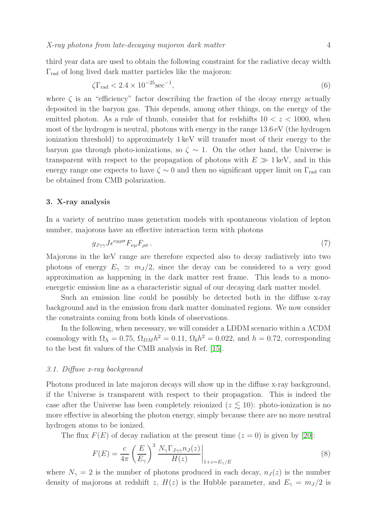third year data are used to obtain the following constraint for the radiative decay width  $\Gamma_{\rm rad}$  of long lived dark matter particles like the majoron:

$$
\zeta\Gamma_{\rm rad} < 2.4 \times 10^{-25} \text{sec}^{-1},\tag{6}
$$

where  $\zeta$  is an "efficiency" factor describing the fraction of the decay energy actually deposited in the baryon gas. This depends, among other things, on the energy of the emitted photon. As a rule of thumb, consider that for redshifts  $10 < z < 1000$ , when most of the hydrogen is neutral, photons with energy in the range 13.6 eV (the hydrogen ionization threshold) to approximately 1 keV will transfer most of their energy to the baryon gas through photo-ionizations, so  $\zeta \sim 1$ . On the other hand, the Universe is transparent with respect to the propagation of photons with  $E \gg 1 \text{ keV}$ , and in this energy range one expects to have  $\zeta \sim 0$  and then no significant upper limit on  $\Gamma_{\text{rad}}$  can be obtained from CMB polarization.

## <span id="page-3-0"></span>3. X-ray analysis

In a variety of neutrino mass generation models with spontaneous violation of lepton number, majorons have an effective interaction term with photons

<span id="page-3-1"></span>
$$
g_{J\gamma\gamma}J\epsilon^{\nu\mu\rho\sigma}F_{\nu\mu}F_{\rho\sigma} \,. \tag{7}
$$

Majorons in the keV range are therefore expected also to decay radiatively into two photons of energy  $E_{\gamma} \simeq m_J/2$ , since the decay can be considered to a very good approximation as happening in the dark matter rest frame. This leads to a monoenergetic emission line as a characteristic signal of our decaying dark matter model.

Such an emission line could be possibly be detected both in the diffuse x-ray background and in the emission from dark matter dominated regions. We now consider the constraints coming from both kinds of observations.

In the following, when necessary, we will consider a LDDM scenario within a ΛCDM cosmology with  $\Omega_{\Lambda} = 0.75$ ,  $\Omega_{DM} h^2 = 0.11$ ,  $\Omega_b h^2 = 0.022$ , and  $h = 0.72$ , corresponding to the best fit values of the CMB analysis in Ref. [\[15\]](#page-14-13).

## 3.1. Diffuse x-ray background

Photons produced in late majoron decays will show up in the diffuse x-ray background, if the Universe is transparent with respect to their propagation. This is indeed the case after the Universe has been completely reionized  $(z \leq 10)$ : photo-ionization is no more effective in absorbing the photon energy, simply because there are no more neutral hydrogen atoms to be ionized.

The flux  $F(E)$  of decay radiation at the present time  $(z = 0)$  is given by [\[20\]](#page-14-19):

$$
F(E) = \frac{c}{4\pi} \left(\frac{E}{E_{\gamma}}\right)^3 \left. \frac{N_{\gamma} \Gamma_{J\gamma\gamma} n_J(z)}{H(z)} \right|_{1+z=E_{\gamma}/E}
$$
(8)

where  $N_{\gamma} = 2$  is the number of photons produced in each decay,  $n_J(z)$  is the number density of majorons at redshift z,  $H(z)$  is the Hubble parameter, and  $E_{\gamma} = m_{J}/2$  is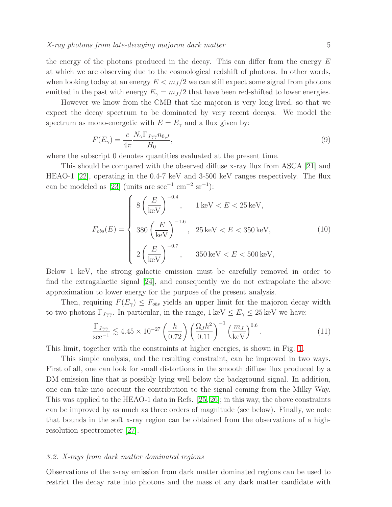the energy of the photons produced in the decay. This can differ from the energy  $E$ at which we are observing due to the cosmological redshift of photons. In other words, when looking today at an energy  $E < m_J/2$  we can still expect some signal from photons emitted in the past with energy  $E_{\gamma} = m_J/2$  that have been red-shifted to lower energies.

However we know from the CMB that the majoron is very long lived, so that we expect the decay spectrum to be dominated by very recent decays. We model the spectrum as mono-energetic with  $E = E_{\gamma}$  and a flux given by:

$$
F(E_{\gamma}) = \frac{c}{4\pi} \frac{N_{\gamma} \Gamma_{J\gamma\gamma} n_{0,J}}{H_0},\tag{9}
$$

where the subscript 0 denotes quantities evaluated at the present time.

This should be compared with the observed diffuse x-ray flux from ASCA [\[21\]](#page-14-20) and HEAO-1 [\[22\]](#page-14-21), operating in the 0.4-7 keV and 3-500 keV ranges respectively. The flux can be modeled as [\[23\]](#page-14-22) (units are  $\sec^{-1}$  cm<sup>-2</sup> sr<sup>-1</sup>):

$$
F_{obs}(E) = \begin{cases} 8\left(\frac{E}{\text{keV}}\right)^{-0.4}, & 1 \text{ keV} < E < 25 \text{ keV}, \\ 380\left(\frac{E}{\text{keV}}\right)^{-1.6}, & 25 \text{ keV} < E < 350 \text{ keV}, \\ 2\left(\frac{E}{\text{keV}}\right)^{-0.7}, & 350 \text{ keV} < E < 500 \text{ keV}, \end{cases}
$$
(10)

Below 1 keV, the strong galactic emission must be carefully removed in order to find the extragalactic signal [\[24\]](#page-14-23), and consequently we do not extrapolate the above approximation to lower energy for the purpose of the present analysis.

Then, requiring  $F(E_{\gamma}) \leq F_{obs}$  yields an upper limit for the majoron decay width to two photons  $\Gamma_{J\gamma\gamma}$ . In particular, in the range,  $1 \text{ keV} \leq E_{\gamma} \leq 25 \text{ keV}$  we have:

$$
\frac{\Gamma_{J\gamma\gamma}}{\sec^{-1}} \lesssim 4.45 \times 10^{-27} \left(\frac{h}{0.72}\right) \left(\frac{\Omega_J h^2}{0.11}\right)^{-1} \left(\frac{m_J}{\text{keV}}\right)^{0.6}.\tag{11}
$$

This limit, together with the constraints at higher energies, is shown in Fig. [1.](#page-5-0)

This simple analysis, and the resulting constraint, can be improved in two ways. First of all, one can look for small distortions in the smooth diffuse flux produced by a DM emission line that is possibly lying well below the background signal. In addition, one can take into account the contribution to the signal coming from the Milky Way. This was applied to the HEAO-1 data in Refs. [\[25,](#page-14-24) [26\]](#page-14-25); in this way, the above constraints can be improved by as much as three orders of magnitude (see below). Finally, we note that bounds in the soft x-ray region can be obtained from the observations of a highresolution spectrometer [\[27\]](#page-15-0).

#### <span id="page-4-0"></span>3.2. X-rays from dark matter dominated regions

Observations of the x-ray emission from dark matter dominated regions can be used to restrict the decay rate into photons and the mass of any dark matter candidate with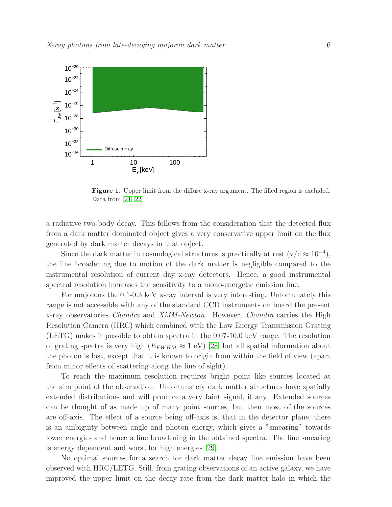

<span id="page-5-0"></span>Figure 1. Upper limit from the diffuse x-ray argument. The filled region is excluded. Data from [\[21,](#page-14-20) [22\]](#page-14-21).

a radiative two-body decay. This follows from the consideration that the detected flux from a dark matter dominated object gives a very conservative upper limit on the flux generated by dark matter decays in that object.

Since the dark matter in cosmological structures is practically at rest  $(v/c \approx 10^{-4})$ , the line broadening due to motion of the dark matter is negligible compared to the instrumental resolution of current day x-ray detectors. Hence, a good instrumental spectral resolution increases the sensitivity to a mono-energetic emission line.

For majorons the 0.1-0.3 keV x-ray interval is very interesting. Unfortunately this range is not accessible with any of the standard CCD instruments on board the present x-ray observatories Chandra and XMM-Newton. However, Chandra carries the High Resolution Camera (HRC) which combined with the Low Energy Transmission Grating (LETG) makes it possible to obtain spectra in the 0.07-10.0 keV range. The resolution of grating spectra is very high  $(E_{FWHM} \approx 1 \text{ eV})$  [\[28\]](#page-15-1) but all spatial information about the photon is lost, except that it is known to origin from within the field of view (apart from minor effects of scattering along the line of sight).

To reach the maximum resolution requires bright point like sources located at the aim point of the observation. Unfortunately dark matter structures have spatially extended distributions and will produce a very faint signal, if any. Extended sources can be thought of as made up of many point sources, but then most of the sources are off-axis. The effect of a source being off-axis is, that in the detector plane, there is an ambiguity between angle and photon energy, which gives a "smearing" towards lower energies and hence a line broadening in the obtained spectra. The line smearing is energy dependent and worst for high energies [\[29\]](#page-15-2).

No optimal sources for a search for dark matter decay line emission have been observed with HRC/LETG. Still, from grating observations of an active galaxy, we have improved the upper limit on the decay rate from the dark matter halo in which the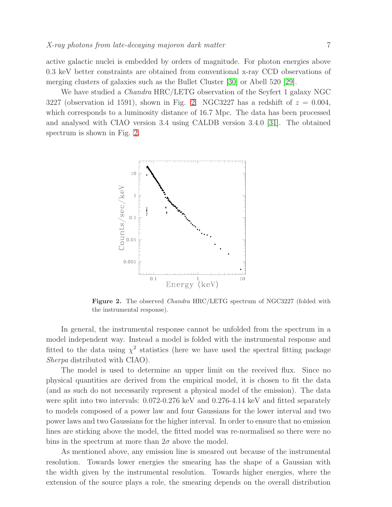active galactic nuclei is embedded by orders of magnitude. For photon energies above 0.3 keV better constraints are obtained from conventional x-ray CCD observations of merging clusters of galaxies such as the Bullet Cluster [\[30\]](#page-15-3) or Abell 520 [\[29\]](#page-15-2).

We have studied a *Chandra* HRC/LETG observation of the Seyfert 1 galaxy NGC 3227 (observation id 1591), shown in Fig. [2.](#page-6-0) NGC3227 has a redshift of  $z = 0.004$ , which corresponds to a luminosity distance of 16.7 Mpc. The data has been processed and analysed with CIAO version 3.4 using CALDB version 3.4.0 [\[31\]](#page-15-4). The obtained spectrum is shown in Fig. [2.](#page-6-0)



<span id="page-6-0"></span>Figure 2. The observed *Chandra* HRC/LETG spectrum of NGC3227 (folded with the instrumental response).

In general, the instrumental response cannot be unfolded from the spectrum in a model independent way. Instead a model is folded with the instrumental response and fitted to the data using  $\chi^2$  statistics (here we have used the spectral fitting package Sherpa distributed with CIAO).

The model is used to determine an upper limit on the received flux. Since no physical quantities are derived from the empirical model, it is chosen to fit the data (and as such do not necessarily represent a physical model of the emission). The data were split into two intervals: 0.072-0.276 keV and 0.276-4.14 keV and fitted separately to models composed of a power law and four Gaussians for the lower interval and two power laws and two Gaussians for the higher interval. In order to ensure that no emission lines are sticking above the model, the fitted model was re-normalised so there were no bins in the spectrum at more than  $2\sigma$  above the model.

As mentioned above, any emission line is smeared out because of the instrumental resolution. Towards lower energies the smearing has the shape of a Gaussian with the width given by the instrumental resolution. Towards higher energies, where the extension of the source plays a role, the smearing depends on the overall distribution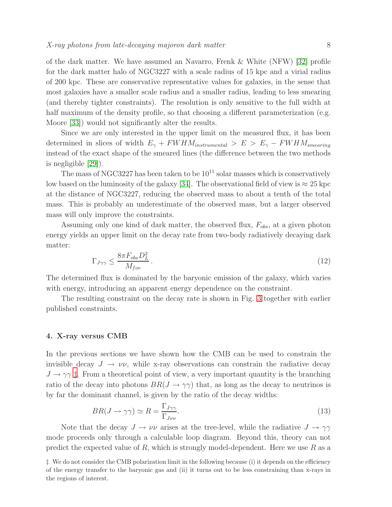of the dark matter. We have assumed an Navarro, Frenk & White (NFW) [\[32\]](#page-15-5) profile for the dark matter halo of NGC3227 with a scale radius of 15 kpc and a virial radius of 200 kpc. These are conservative representative values for galaxies, in the sense that most galaxies have a smaller scale radius and a smaller radius, leading to less smearing (and thereby tighter constraints). The resolution is only sensitive to the full width at half maximum of the density profile, so that choosing a different parameterization (e.g. Moore [\[33\]](#page-15-6)) would not significantly alter the results.

Since we are only interested in the upper limit on the measured flux, it has been determined in slices of width  $E_{\gamma} + FWHM_{instrumental} > E > E_{\gamma} - FWHM_{smearing}$ instead of the exact shape of the smeared lines (the difference between the two methods is negligible [\[29\]](#page-15-2)).

The mass of NGC3227 has been taken to be  $10^{11}$  solar masses which is conservatively low based on the luminosity of the galaxy [\[34\]](#page-15-7). The observational field of view is  $\approx 25$  kpc at the distance of NGC3227, reducing the observed mass to about a tenth of the total mass. This is probably an underestimate of the observed mass, but a larger observed mass will only improve the constraints.

Assuming only one kind of dark matter, the observed flux,  $F_{obs}$ , at a given photon energy yields an upper limit on the decay rate from two-body radiatively decaying dark matter:

$$
\Gamma_{J\gamma\gamma} \le \frac{8\pi F_{obs} D_L^2}{M_{fov}}\,. \tag{12}
$$

The determined flux is dominated by the baryonic emission of the galaxy, which varies with energy, introducing an apparent energy dependence on the constraint.

The resulting constraint on the decay rate is shown in Fig. [3](#page-8-0) together with earlier published constraints.

#### <span id="page-7-0"></span>4. X-ray versus CMB

In the previous sections we have shown how the CMB can be used to constrain the invisible decay  $J \to \nu \nu$ , while x-ray observations can constrain the radiative decay  $J \rightarrow \gamma \gamma$  [‡](#page-7-1). From a theoretical point of view, a very important quantity is the branching ratio of the decay into photons  $BR(J \to \gamma\gamma)$  that, as long as the decay to neutrinos is by far the dominant channel, is given by the ratio of the decay widths:

$$
BR(J \to \gamma \gamma) \simeq R = \frac{\Gamma_{J\gamma\gamma}}{\Gamma_{J\nu\nu}}.
$$
\n(13)

Note that the decay  $J \to \nu \nu$  arises at the tree-level, while the radiative  $J \to \gamma \gamma$ mode proceeds only through a calculable loop diagram. Beyond this, theory can not predict the expected value of  $R$ , which is strongly model-dependent. Here we use  $R$  as a

<span id="page-7-1"></span><sup>‡</sup> We do not consider the CMB polarization limit in the following because (i) it depends on the efficiency of the energy transfer to the baryonic gas and (ii) it turns out to be less constraining than x-rays in the regions of interest.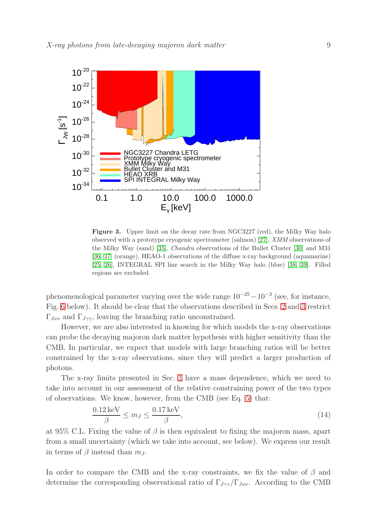

<span id="page-8-0"></span>Figure 3. Upper limit on the decay rate from NGC3227 (red), the Milky Way halo observed with a prototype cryogenic spectrometer (salmon) [\[27\]](#page-15-0), XMM observations of the Milky Way (sand) [\[35\]](#page-15-8), Chandra observations of the Bullet Cluster [\[30\]](#page-15-3) and M31 [\[36,](#page-15-9) [37\]](#page-15-10) (orange), HEAO-1 observations of the diffuse x-ray background (aquamarine) [\[25,](#page-14-24) [26\]](#page-14-25), INTEGRAL SPI line search in the Milky Way halo (blue) [\[38,](#page-15-11) [39\]](#page-15-12). Filled regions are excluded.

phenomenological parameter varying over the wide range  $10^{-25} - 10^{-3}$  (see, for instance, Fig. [6](#page-13-0) below). It should be clear that the observations described in Secs. [2](#page-1-1) and [3](#page-3-0) restrict  $\Gamma_{J\nu\nu}$  and  $\Gamma_{J\gamma\gamma}$ , leaving the branching ratio unconstrained.

However, we are also interested in knowing for which models the x-ray observations can probe the decaying majoron dark matter hypothesis with higher sensitivity than the CMB. In particular, we expect that models with large branching ratios will be better constrained by the x-ray observations, since they will predict a larger production of photons.

The x-ray limits presented in Sec. [3](#page-3-0) have a mass dependence, which we need to take into account in our assessment of the relative constraining power of the two types of observations. We know, however, from the CMB (see Eq. [5\)](#page-2-2) that:

$$
\frac{0.12 \,\text{keV}}{\beta} \le m_J \le \frac{0.17 \,\text{keV}}{\beta},\tag{14}
$$

at 95% C.L. Fixing the value of  $\beta$  is then equivalent to fixing the majoron mass, apart from a small uncertainty (which we take into account, see below). We express our result in terms of  $\beta$  instead than  $m<sub>J</sub>$ .

In order to compare the CMB and the x-ray constraints, we fix the value of  $\beta$  and determine the corresponding observational ratio of  $\Gamma_{J\gamma\gamma}/\Gamma_{J\nu\nu}$ . According to the CMB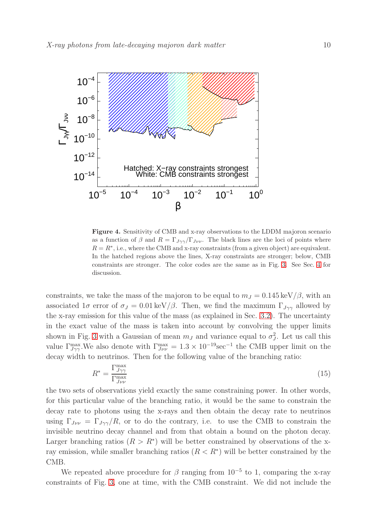

<span id="page-9-0"></span>Figure 4. Sensitivity of CMB and x-ray observations to the LDDM majoron scenario as a function of  $\beta$  and  $R = \Gamma_{J\gamma\gamma}/\Gamma_{J\nu\nu}$ . The black lines are the loci of points where  $R = R^*$ , i.e., where the CMB and x-ray constraints (from a given object) are equivalent. In the hatched regions above the lines, X-ray constraints are stronger; below, CMB constraints are stronger. The color codes are the same as in Fig. [3.](#page-8-0) See Sec. [4](#page-7-0) for discussion.

constraints, we take the mass of the majoron to be equal to  $m_J = 0.145 \text{ keV}/\beta$ , with an associated  $1\sigma$  error of  $\sigma_J = 0.01 \text{ keV}/\beta$ . Then, we find the maximum  $\Gamma_{J\gamma\gamma}$  allowed by the x-ray emission for this value of the mass (as explained in Sec. [3.2\)](#page-4-0). The uncertainty in the exact value of the mass is taken into account by convolving the upper limits shown in Fig. [3](#page-8-0) with a Gaussian of mean  $m<sub>J</sub>$  and variance equal to  $\sigma_J^2$  $J<sup>2</sup>$ . Let us call this value  $\Gamma_{J\gamma\gamma}^{\text{max}}$ . We also denote with  $\Gamma_{J\nu\nu}^{\text{max}} = 1.3 \times 10^{-19} \text{sec}^{-1}$  the CMB upper limit on the decay width to neutrinos. Then for the following value of the branching ratio:

$$
R^* = \frac{\Gamma_{J\gamma\gamma}^{\text{max}}}{\Gamma_{J\nu\nu}^{\text{max}}} \tag{15}
$$

the two sets of observations yield exactly the same constraining power. In other words, for this particular value of the branching ratio, it would be the same to constrain the decay rate to photons using the x-rays and then obtain the decay rate to neutrinos using  $\Gamma_{J\nu\nu} = \Gamma_{J\gamma\gamma}/R$ , or to do the contrary, i.e. to use the CMB to constrain the invisible neutrino decay channel and from that obtain a bound on the photon decay. Larger branching ratios  $(R > R^*)$  will be better constrained by observations of the xray emission, while smaller branching ratios  $(R < R^*)$  will be better constrained by the CMB.

We repeated above procedure for  $\beta$  ranging from 10<sup>-5</sup> to 1, comparing the x-ray constraints of Fig. [3,](#page-8-0) one at time, with the CMB constraint. We did not include the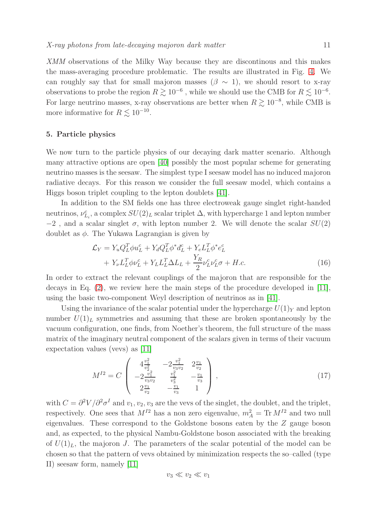XMM observations of the Milky Way because they are discontinous and this makes the mass-averaging procedure problematic. The results are illustrated in Fig. [4.](#page-9-0) We can roughly say that for small majoron masses ( $\beta \sim 1$ ), we should resort to x-ray observations to probe the region  $R \gtrsim 10^{-6}$ , while we should use the CMB for  $R \lesssim 10^{-6}$ . For large neutrino masses, x-ray observations are better when  $R \gtrsim 10^{-8}$ , while CMB is more informative for  $R \lesssim 10^{-10}$ .

#### <span id="page-10-0"></span>5. Particle physics

We now turn to the particle physics of our decaying dark matter scenario. Although many attractive options are open [\[40\]](#page-15-13) possibly the most popular scheme for generating neutrino masses is the seesaw. The simplest type I seesaw model has no induced majoron radiative decays. For this reason we consider the full seesaw model, which contains a Higgs boson triplet coupling to the lepton doublets [\[41\]](#page-15-14).

In addition to the SM fields one has three electroweak gauge singlet right-handed neutrinos,  $\nu_{L_i}^c$ , a complex  $SU(2)_L$  scalar triplet  $\Delta$ , with hypercharge 1 and lepton number  $-2$ , and a scalar singlet  $\sigma$ , with lepton number 2. We will denote the scalar  $SU(2)$ doublet as  $\phi$ . The Yukawa Lagrangian is given by

<span id="page-10-2"></span>
$$
\mathcal{L}_Y = Y_u Q_L^T \phi u_L^c + Y_d Q_L^T \phi^* d_L^c + Y_e L_L^T \phi^* e_L^c \n+ Y_\nu L_L^T \phi v_L^c + Y_L L_L^T \Delta L_L + \frac{Y_R}{2} \nu_L^c \nu_L^c \sigma + H.c.
$$
\n(16)

In order to extract the relevant couplings of the majoron that are responsible for the decays in Eq. [\(2\)](#page-2-1), we review here the main steps of the procedure developed in [\[11\]](#page-14-10), using the basic two-component Weyl description of neutrinos as in [\[41\]](#page-15-14).

Using the invariance of the scalar potential under the hypercharge  $U(1)_Y$  and lepton number  $U(1)<sub>L</sub>$  symmetries and assuming that these are broken spontaneously by the vacuum configuration, one finds, from Noether's theorem, the full structure of the mass matrix of the imaginary neutral component of the scalars given in terms of their vacuum expectation values (vevs) as [\[11\]](#page-14-10)

<span id="page-10-1"></span>
$$
M^{I2} = C \begin{pmatrix} 4\frac{v_1^2}{v_2^2} & -2\frac{v_1^2}{v_3v_2} & 2\frac{v_1}{v_2} \\ -2\frac{v_1^2}{v_3v_2} & \frac{v_1^2}{v_3^2} & -\frac{v_1}{v_3} \\ 2\frac{v_1}{v_2} & -\frac{v_1}{v_3} & 1 \end{pmatrix},
$$
\n(17)

with  $C = \partial^2 V / \partial^2 \sigma^I$  and  $v_1, v_2, v_3$  are the vevs of the singlet, the doublet, and the triplet, respectively. One sees that  $M^{I2}$  has a non zero eigenvalue,  $m_A^2 = Tr M^{I2}$  and two null eigenvalues. These correspond to the Goldstone bosons eaten by the Z gauge boson and, as expected, to the physical Nambu-Goldstone boson associated with the breaking of  $U(1)<sub>L</sub>$ , the majoron J. The parameters of the scalar potential of the model can be chosen so that the pattern of vevs obtained by minimization respects the so–called (type II) seesaw form, namely [\[11\]](#page-14-10)

$$
v_3 \ll v_2 \ll v_1
$$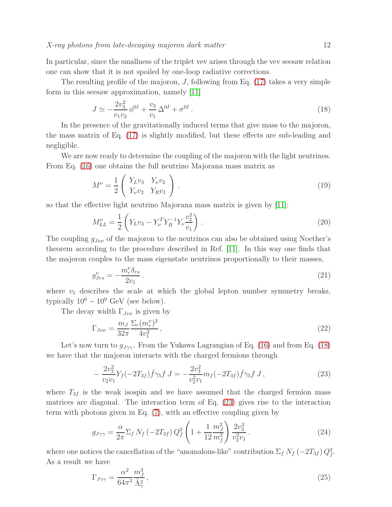In particular, since the smallness of the triplet vev arises through the vev seesaw relation one can show that it is not spoiled by one-loop radiative corrections.

The resulting profile of the majoron,  $J$ , following from Eq. [\(17\)](#page-10-1) takes a very simple form in this seesaw approximation, namely [\[11\]](#page-14-10)

<span id="page-11-0"></span>
$$
J \simeq -\frac{2v_3^2}{v_1 v_2} \phi^{0I} + \frac{v_3}{v_1} \Delta^{0I} + \sigma^{0I} \,. \tag{18}
$$

In the presence of the gravitationally induced terms that give mass to the majoron, the mass matrix of Eq. [\(17\)](#page-10-1) is slightly modified, but these effects are sub-leading and negligible.

We are now ready to determine the coupling of the majoron with the light neutrinos. From Eq. [\(16\)](#page-10-2) one obtains the full neutrino Majorana mass matrix as

$$
M^{\nu} = \frac{1}{2} \begin{pmatrix} Y_L v_3 & Y_{\nu} v_2 \\ Y_{\nu} v_2 & Y_R v_1 \end{pmatrix} . \tag{19}
$$

so that the effective light neutrino Majorana mass matrix is given by [\[11\]](#page-14-10):

$$
M_{LL}^{\nu} = \frac{1}{2} \left( Y_L v_3 - Y_{\nu}^T Y_R^{-1} Y_{\nu} \frac{v_2^2}{v_1} \right) . \tag{20}
$$

The coupling  $g_{J\nu\nu}$  of the majoron to the neutrinos can also be obtained using Noether's theorem according to the procedure described in Ref. [\[11\]](#page-14-10). In this way one finds that the majoron couples to the mass eigenstate neutrinos proportionally to their masses,

$$
g_{Jrs}^{\nu} = -\frac{m_r^{\nu} \delta_{rs}}{2v_1} \,. \tag{21}
$$

where  $v_1$  describes the scale at which the global lepton number symmetry breaks, typically  $10^6 - 10^9$  GeV (see below).

The decay width  $\Gamma_{J\nu\nu}$  is given by

$$
\Gamma_{J\nu\nu} = \frac{m_J}{32\pi} \frac{\Sigma_r (m_r^{\nu})^2}{4v_1^2},\tag{22}
$$

Let's now turn to  $g_{J\gamma\gamma}$ . From the Yukawa Lagrangian of Eq. [\(16\)](#page-10-2) and from Eq. [\(18\)](#page-11-0) we have that the majoron interacts with the charged fermions through

<span id="page-11-1"></span>
$$
-\frac{2v_3^2}{v_2v_1}Y_f(-2T_{3f})\bar{f}\gamma_5f J = -\frac{2v_3^2}{v_2^2v_1}m_f(-2T_{3f})\bar{f}\gamma_5f J,
$$
\n(23)

where  $T_{3f}$  is the weak isospin and we have assumed that the charged fermion mass matrices are diagonal. The interaction term of Eq. [\(23\)](#page-11-1) gives rise to the interaction term with photons given in Eq. [\(7\)](#page-3-1), with an effective coupling given by

$$
g_{J\gamma\gamma} = \frac{\alpha}{2\pi} \Sigma_f N_f \left( -2T_{3f} \right) Q_f^2 \left( 1 + \frac{1}{12} \frac{m_J^2}{m_f^2} \right) \frac{2v_3^2}{v_2^2 v_1} \,. \tag{24}
$$

where one notices the cancellation of the "anomalous-like" contribution  $\Sigma_f N_f (-2T_{3f}) Q_f^2$ . As a result we have

<span id="page-11-2"></span>
$$
\Gamma_{J\gamma\gamma} = \frac{\alpha^2}{64\pi^3} \frac{m_J^3}{\tilde{\Lambda}_\gamma^2},\tag{25}
$$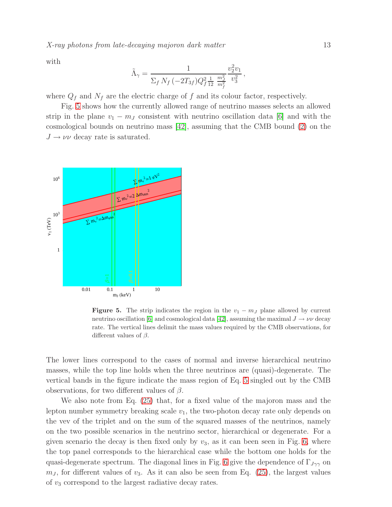X-ray photons from late-decaying majoron dark matter 13

with

$$
\tilde{\Lambda}_{\gamma} = \frac{1}{\Sigma_f N_f \left(-2T_{3f}\right) Q_f^2 \frac{1}{12} \frac{m_f^2}{m_f^2}} \frac{v_2^2 v_1}{v_3^2} \,,
$$

where  $Q_f$  and  $N_f$  are the electric charge of f and its colour factor, respectively.

Fig. [5](#page-12-0) shows how the currently allowed range of neutrino masses selects an allowed strip in the plane  $v_1 - m_J$  consistent with neutrino oscillation data [\[6\]](#page-14-5) and with the cosmological bounds on neutrino mass [\[42\]](#page-15-15), assuming that the CMB bound [\(2\)](#page-2-1) on the  $J \rightarrow \nu \nu$  decay rate is saturated.



<span id="page-12-0"></span>**Figure 5.** The strip indicates the region in the  $v_1 - m_J$  plane allowed by current neutrino oscillation [\[6\]](#page-14-5) and cosmological data [\[42\]](#page-15-15), assuming the maximal  $J \to \nu \nu$  decay rate. The vertical lines delimit the mass values required by the CMB observations, for different values of  $\beta$ .

The lower lines correspond to the cases of normal and inverse hierarchical neutrino masses, while the top line holds when the three neutrinos are (quasi)-degenerate. The vertical bands in the figure indicate the mass region of Eq. [5](#page-2-2) singled out by the CMB observations, for two different values of  $\beta$ .

We also note from Eq. [\(25\)](#page-11-2) that, for a fixed value of the majoron mass and the lepton number symmetry breaking scale  $v_1$ , the two-photon decay rate only depends on the vev of the triplet and on the sum of the squared masses of the neutrinos, namely on the two possible scenarios in the neutrino sector, hierarchical or degenerate. For a given scenario the decay is then fixed only by  $v_3$ , as it can been seen in Fig. [6,](#page-13-0) where the top panel corresponds to the hierarchical case while the bottom one holds for the quasi-degenerate spectrum. The diagonal lines in Fig. [6](#page-13-0) give the dependence of  $\Gamma_{J\gamma\gamma}$  on  $m<sub>J</sub>$ , for different values of  $v<sub>3</sub>$ . As it can also be seen from Eq. [\(25\)](#page-11-2), the largest values of  $v_3$  correspond to the largest radiative decay rates.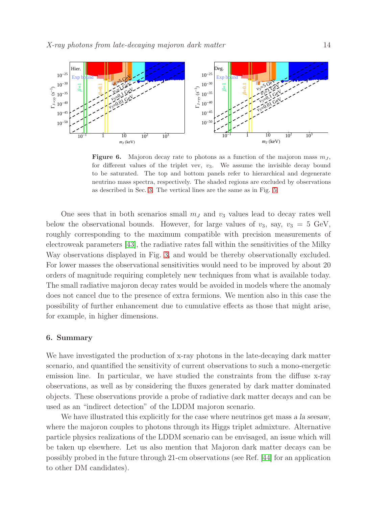

<span id="page-13-0"></span>**Figure 6.** Majoron decay rate to photons as a function of the majoron mass  $m<sub>J</sub>$ , for different values of the triplet vev,  $v_3$ . We assume the invisible decay bound to be saturated. The top and bottom panels refer to hierarchical and degenerate neutrino mass spectra, respectively. The shaded regions are excluded by observations as described in Sec. [3.](#page-3-0) The vertical lines are the same as in Fig. [5.](#page-12-0)

One sees that in both scenarios small  $m<sub>J</sub>$  and  $v<sub>3</sub>$  values lead to decay rates well below the observational bounds. However, for large values of  $v_3$ , say,  $v_3 = 5$  GeV, roughly corresponding to the maximum compatible with precision measurements of electroweak parameters [\[43\]](#page-15-16), the radiative rates fall within the sensitivities of the Milky Way observations displayed in Fig. [3,](#page-8-0) and would be thereby observationally excluded. For lower masses the observational sensitivities would need to be improved by about 20 orders of magnitude requiring completely new techniques from what is available today. The small radiative majoron decay rates would be avoided in models where the anomaly does not cancel due to the presence of extra fermions. We mention also in this case the possibility of further enhancement due to cumulative effects as those that might arise, for example, in higher dimensions.

## 6. Summary

We have investigated the production of x-ray photons in the late-decaying dark matter scenario, and quantified the sensitivity of current observations to such a mono-energetic emission line. In particular, we have studied the constraints from the diffuse x-ray observations, as well as by considering the fluxes generated by dark matter dominated objects. These observations provide a probe of radiative dark matter decays and can be used as an "indirect detection" of the LDDM majoron scenario.

We have illustrated this explicitly for the case where neutrinos get mass a la seesaw, where the majoron couples to photons through its Higgs triplet admixture. Alternative particle physics realizations of the LDDM scenario can be envisaged, an issue which will be taken up elsewhere. Let us also mention that Majoron dark matter decays can be possibly probed in the future through 21-cm observations (see Ref. [\[44\]](#page-15-17) for an application to other DM candidates).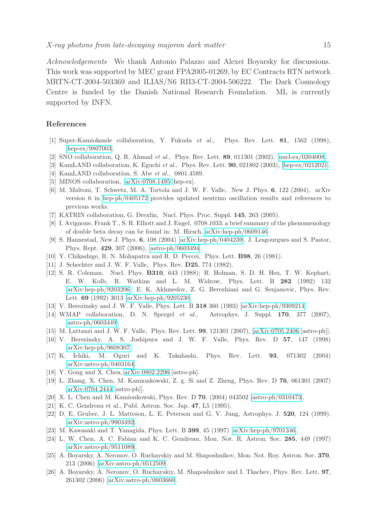Acknowledgements We thank Antonio Palazzo and Alexei Boyarsky for discussions. This work was supported by MEC grant FPA2005-01269, by EC Contracts RTN network MRTN-CT-2004-503369 and ILIAS/N6 RII3-CT-2004-506222. The Dark Cosmology Centre is funded by the Danish National Research Foundation. ML is currently supported by INFN.

## <span id="page-14-0"></span>References

- <span id="page-14-1"></span>[1] Super-Kamiokande collaboration, Y. Fukuda et al., Phys. Rev. Lett. 81, 1562 (1998), [\[hep-ex/9807003\]](http://arXiv.org/abs/hep-ex/9807003).
- <span id="page-14-2"></span>[2] SNO collaboration, Q. R. Ahmad et al., Phys. Rev. Lett. 89, 011301 (2002), [\[nucl-ex/0204008\]](http://arXiv.org/abs/nucl-ex/0204008).
- <span id="page-14-3"></span>[3] KamLAND collaboration, K. Eguchi et al., Phys. Rev. Lett. **90**, 021802 (2003), [\[hep-ex/0212021\]](http://arXiv.org/abs/hep-ex/0212021).
- <span id="page-14-4"></span>[4] KamLAND collaboration, S. Abe et al., 0801.4589.
- <span id="page-14-5"></span>[5] MINOS collaboration, [arXiv:0708.1495](http://arXiv.org/abs/0708.1495) [hep-ex].
- [6] M. Maltoni, T. Schwetz, M. A. Tortola and J. W. F. Valle, New J. Phys. 6, 122 (2004), arXiv version 6 in [hep-ph/0405172](http://arXiv.org/abs/hep-ph/0405172) provides updated neutrino oscillation results and references to previous works.
- <span id="page-14-7"></span><span id="page-14-6"></span>[7] KATRIN collaboration, G. Drexlin, Nucl. Phys. Proc. Suppl. 145, 263 (2005).
- <span id="page-14-8"></span>[8] I. Avignone, Frank T., S. R. Elliott and J. Engel, 0708.1033. a brief summary of the phenomenology of double beta decay can be found in: M. Hirsch, [arXiv:hep-ph/0609146.](http://arXiv.org/abs/hep-ph/0609146)
- <span id="page-14-9"></span>[9] S. Hannestad, New J. Phys. 6, 108 (2004) [\[arXiv:hep-ph/0404239\]](http://arXiv.org/abs/hep-ph/0404239). J. Lesgourgues and S. Pastor, Phys. Rept. 429, 307 (2006), [\[astro-ph/0603494\]](http://arXiv.org/abs/astro-ph/0603494).
- <span id="page-14-10"></span>[10] Y. Chikashige, R. N. Mohapatra and R. D. Peccei, Phys. Lett. B98, 26 (1981).
- <span id="page-14-11"></span>[11] J. Schechter and J. W. F. Valle, Phys. Rev. D25, 774 (1982).
- [12] S. R. Coleman, Nucl. Phys. B310, 643 (1988); R. Holman, S. D. H. Hsu, T. W. Kephart, E. W. Kolb, R. Watkins and L. M. Widrow, Phys. Lett. B 282 (1992) 132 [\[arXiv:hep-ph/9203206\]](http://arXiv.org/abs/hep-ph/9203206); E. K. Akhmedov, Z. G. Berezhiani and G. Senjanovic, Phys. Rev. Lett. 69 (1992) 3013 [\[arXiv:hep-ph/9205230\]](http://arXiv.org/abs/hep-ph/9205230).
- <span id="page-14-14"></span><span id="page-14-12"></span>[13] V. Berezinsky and J. W. F. Valle, Phys. Lett. B 318 360 (1993) [\[arXiv:hep-ph/9309214\]](http://arXiv.org/abs/hep-ph/9309214).
- [14] WMAP collaboration, D. N. Spergel et al., Astrophys. J. Suppl. 170, 377 (2007), [\[astro-ph/0603449\]](http://arXiv.org/abs/astro-ph/0603449).
- <span id="page-14-15"></span><span id="page-14-13"></span>[15] M. Lattanzi and J. W. F. Valle, Phys. Rev. Lett. 99, 121301 (2007), [\[arXiv:0705.2406](http://arXiv.org/abs/0705.2406) [astro-ph]].
- [16] V. Berezinsky, A. S. Joshipura and J. W. F. Valle, Phys. Rev. D 57, 147 (1998) [\[arXiv:hep-ph/9608307\]](http://arXiv.org/abs/hep-ph/9608307).
- <span id="page-14-16"></span>[17] K. Ichiki, M. Oguri and K. Takahashi, Phys. Rev. Lett. 93, 071302 (2004) [\[arXiv:astro-ph/0403164\]](http://arXiv.org/abs/astro-ph/0403164).
- <span id="page-14-18"></span><span id="page-14-17"></span>[18] Y. Gong and X. Chen, [arXiv:0802.2296](http://arXiv.org/abs/0802.2296) [astro-ph].
- [19] L. Zhang, X. Chen, M. Kamionkowski, Z. g. Si and Z. Zheng, Phys. Rev. D 76, 061301 (2007) [\[arXiv:0704.2444](http://arXiv.org/abs/0704.2444) [astro-ph]].
- <span id="page-14-20"></span><span id="page-14-19"></span>[20] X. L. Chen and M. Kamionkowski, Phys. Rev. D 70, (2004) 043502 [\[astro-ph/0310473\]](http://arXiv.org/abs/astro-ph/0310473).
- <span id="page-14-21"></span>[21] K. C. Gendreau et al., Publ. Astron. Soc. Jap. 47, L5 (1995).
- [22] D. E. Gruber, J. L. Matteson, L. E. Peterson and G. V. Jung, Astrophys. J. 520, 124 (1999). [\[arXiv:astro-ph/9903492\]](http://arXiv.org/abs/astro-ph/9903492).
- <span id="page-14-23"></span><span id="page-14-22"></span>[23] M. Kawasaki and T. Yanagida, Phys. Lett. B 399, 45 (1997) [\[arXiv:hep-ph/9701346\]](http://arXiv.org/abs/hep-ph/9701346).
- [24] L. W. Chen, A. C. Fabian and K. C. Gendreau, Mon. Not. R. Astron. Soc. 285, 449 (1997) [\[arXiv:astro-ph/9511089\]](http://arXiv.org/abs/astro-ph/9511089).
- <span id="page-14-24"></span>[25] A. Boyarsky, A. Neronov, O. Ruchayskiy and M. Shaposhnikov, Mon. Not. Roy. Astron. Soc. 370, 213 (2006) [\[arXiv:astro-ph/0512509\]](http://arXiv.org/abs/astro-ph/0512509).
- <span id="page-14-25"></span>[26] A. Boyarsky, A. Neronov, O. Ruchayskiy, M. Shaposhnikov and I. Tkachev, Phys. Rev. Lett. 97, 261302 (2006) [\[arXiv:astro-ph/0603660\]](http://arXiv.org/abs/astro-ph/0603660).